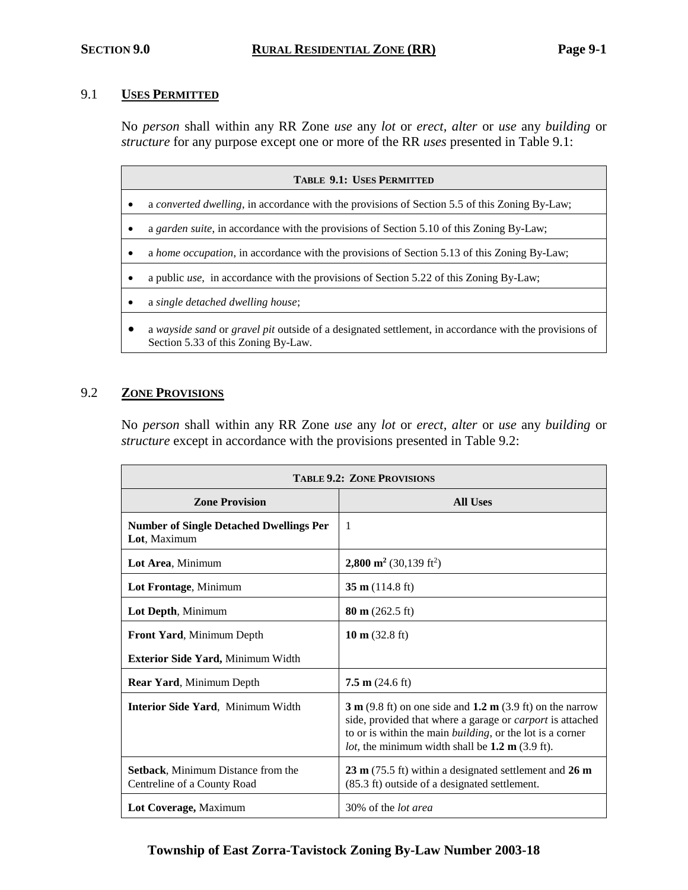#### 9.1 **USES PERMITTED**

No *person* shall within any RR Zone *use* any *lot* or *erect, alter* or *use* any *building* or *structure* for any purpose except one or more of the RR *uses* presented in Table 9.1:

| <b>TABLE 9.1: USES PERMITTED</b> |                                                                                                                                              |  |  |  |
|----------------------------------|----------------------------------------------------------------------------------------------------------------------------------------------|--|--|--|
|                                  | a converted dwelling, in accordance with the provisions of Section 5.5 of this Zoning By-Law;                                                |  |  |  |
|                                  | a garden suite, in accordance with the provisions of Section 5.10 of this Zoning By-Law;                                                     |  |  |  |
|                                  | a home occupation, in accordance with the provisions of Section 5.13 of this Zoning By-Law;                                                  |  |  |  |
|                                  | a public <i>use</i> , in accordance with the provisions of Section 5.22 of this Zoning By-Law;                                               |  |  |  |
|                                  | a single detached dwelling house;                                                                                                            |  |  |  |
|                                  | a wayside sand or gravel pit outside of a designated settlement, in accordance with the provisions of<br>Section 5.33 of this Zoning By-Law. |  |  |  |

#### 9.2 **ZONE PROVISIONS**

No *person* shall within any RR Zone *use* any *lot* or *erect, alter* or *use* any *building* or *structure* except in accordance with the provisions presented in Table 9.2:

| <b>TABLE 9.2: ZONE PROVISIONS</b>                                        |                                                                                                                                                                                                                                                                                   |  |  |  |
|--------------------------------------------------------------------------|-----------------------------------------------------------------------------------------------------------------------------------------------------------------------------------------------------------------------------------------------------------------------------------|--|--|--|
| <b>Zone Provision</b>                                                    | <b>All Uses</b>                                                                                                                                                                                                                                                                   |  |  |  |
| <b>Number of Single Detached Dwellings Per</b><br>Lot, Maximum           | -1                                                                                                                                                                                                                                                                                |  |  |  |
| Lot Area, Minimum                                                        | 2,800 m <sup>2</sup> (30,139 ft <sup>2</sup> )                                                                                                                                                                                                                                    |  |  |  |
| Lot Frontage, Minimum                                                    | $35 \text{ m}$ (114.8 ft)                                                                                                                                                                                                                                                         |  |  |  |
| Lot Depth, Minimum                                                       | $80 \text{ m}$ (262.5 ft)                                                                                                                                                                                                                                                         |  |  |  |
| Front Yard, Minimum Depth                                                | 10 m $(32.8 \text{ ft})$                                                                                                                                                                                                                                                          |  |  |  |
| <b>Exterior Side Yard, Minimum Width</b>                                 |                                                                                                                                                                                                                                                                                   |  |  |  |
| Rear Yard, Minimum Depth                                                 | $7.5 \text{ m}$ (24.6 ft)                                                                                                                                                                                                                                                         |  |  |  |
| <b>Interior Side Yard, Minimum Width</b>                                 | $3 \text{ m}$ (9.8 ft) on one side and 1.2 m (3.9 ft) on the narrow<br>side, provided that where a garage or <i>carport</i> is attached<br>to or is within the main <i>building</i> , or the lot is a corner<br><i>lot</i> , the minimum width shall be $1.2 \text{ m}$ (3.9 ft). |  |  |  |
| <b>Setback, Minimum Distance from the</b><br>Centreline of a County Road | $23 \text{ m}$ (75.5 ft) within a designated settlement and $26 \text{ m}$<br>(85.3 ft) outside of a designated settlement.                                                                                                                                                       |  |  |  |
| Lot Coverage, Maximum                                                    | 30% of the <i>lot area</i>                                                                                                                                                                                                                                                        |  |  |  |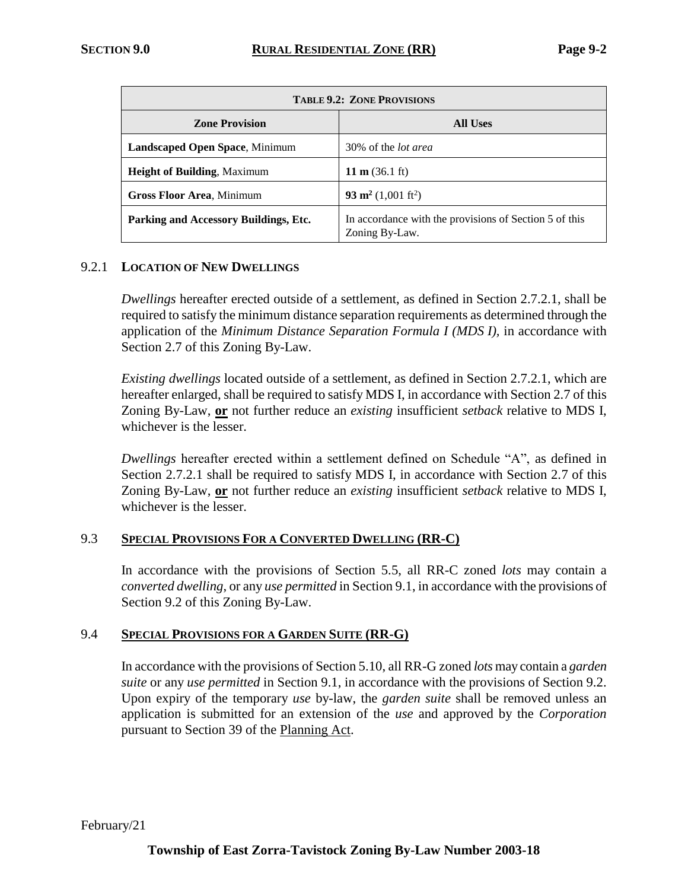| <b>TABLE 9.2: ZONE PROVISIONS</b>     |                                                                          |  |  |  |
|---------------------------------------|--------------------------------------------------------------------------|--|--|--|
| <b>Zone Provision</b>                 | <b>All Uses</b>                                                          |  |  |  |
| <b>Landscaped Open Space, Minimum</b> | 30% of the <i>lot area</i>                                               |  |  |  |
| <b>Height of Building, Maximum</b>    | 11 m $(36.1 \text{ ft})$                                                 |  |  |  |
| <b>Gross Floor Area, Minimum</b>      | 93 m <sup>2</sup> (1,001 ft <sup>2</sup> )                               |  |  |  |
| Parking and Accessory Buildings, Etc. | In accordance with the provisions of Section 5 of this<br>Zoning By-Law. |  |  |  |

#### 9.2.1 **LOCATION OF NEW DWELLINGS**

*Dwellings* hereafter erected outside of a settlement, as defined in Section 2.7.2.1, shall be required to satisfy the minimum distance separation requirements as determined through the application of the *Minimum Distance Separation Formula I (MDS I),* in accordance with Section 2.7 of this Zoning By-Law.

*Existing dwellings* located outside of a settlement, as defined in Section 2.7.2.1, which are hereafter enlarged, shall be required to satisfy MDS I, in accordance with Section 2.7 of this Zoning By-Law, **or** not further reduce an *existing* insufficient *setback* relative to MDS I, whichever is the lesser.

*Dwellings* hereafter erected within a settlement defined on Schedule "A", as defined in Section 2.7.2.1 shall be required to satisfy MDS I, in accordance with Section 2.7 of this Zoning By-Law, **or** not further reduce an *existing* insufficient *setback* relative to MDS I, whichever is the lesser.

#### 9.3 **SPECIAL PROVISIONS FOR A CONVERTED DWELLING (RR-C)**

In accordance with the provisions of Section 5.5, all RR-C zoned *lots* may contain a *converted dwelling*, or any *use permitted* in Section 9.1, in accordance with the provisions of Section 9.2 of this Zoning By-Law.

#### 9.4 **SPECIAL PROVISIONS FOR A GARDEN SUITE (RR-G)**

In accordance with the provisions of Section 5.10, all RR-G zoned *lots* may contain a *garden suite* or any *use permitted* in Section 9.1, in accordance with the provisions of Section 9.2. Upon expiry of the temporary *use* by-law, the *garden suite* shall be removed unless an application is submitted for an extension of the *use* and approved by the *Corporation* pursuant to Section 39 of the Planning Act.

February/21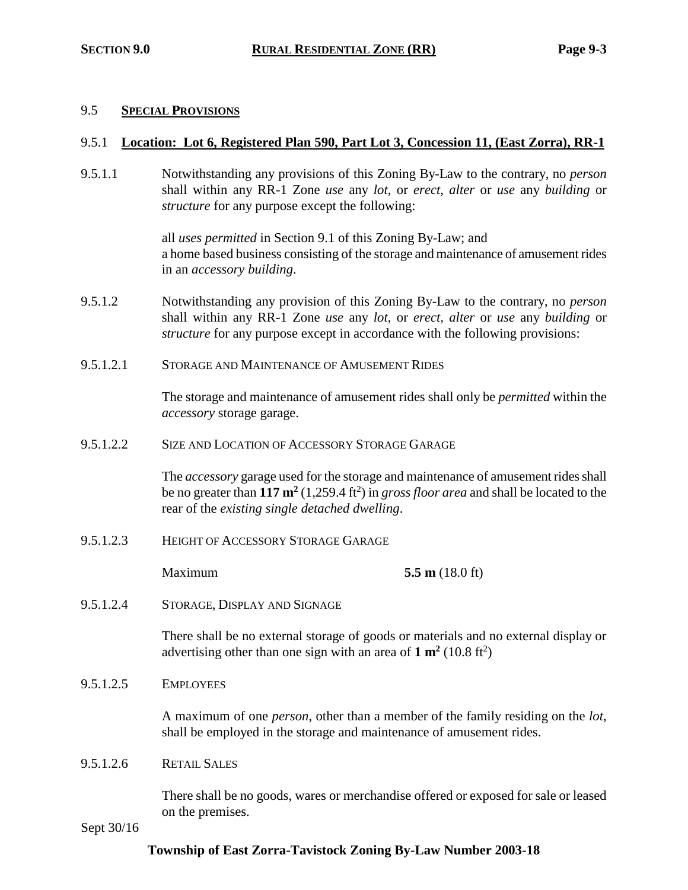#### 9.5 **SPECIAL PROVISIONS**

#### 9.5.1 **Location: Lot 6, Registered Plan 590, Part Lot 3, Concession 11, (East Zorra), RR-1**

9.5.1.1 Notwithstanding any provisions of this Zoning By-Law to the contrary, no *person* shall within any RR-1 Zone *use* any *lot*, or *erect, alter* or *use* any *building* or *structure* for any purpose except the following:

> all *uses permitted* in Section 9.1 of this Zoning By-Law; and a home based business consisting of the storage and maintenance of amusement rides in an *accessory building*.

- 9.5.1.2 Notwithstanding any provision of this Zoning By-Law to the contrary, no *person* shall within any RR-1 Zone *use* any *lot*, or *erect, alter* or *use* any *building* or *structure* for any purpose except in accordance with the following provisions:
- 9.5.1.2.1 STORAGE AND MAINTENANCE OF AMUSEMENT RIDES

The storage and maintenance of amusement rides shall only be *permitted* within the *accessory* storage garage.

9.5.1.2.2 SIZE AND LOCATION OF ACCESSORY STORAGE GARAGE

The *accessory* garage used for the storage and maintenance of amusement rides shall be no greater than **117 m<sup>2</sup>** (1,259.4 ft<sup>2</sup> ) in *gross floor area* and shall be located to the rear of the *existing single detached dwelling*.

9.5.1.2.3 HEIGHT OF ACCESSORY STORAGE GARAGE

Maximum **5.5 m** (18.0 ft)

9.5.1.2.4 STORAGE, DISPLAY AND SIGNAGE

There shall be no external storage of goods or materials and no external display or advertising other than one sign with an area of  $1 \text{ m}^2$  (10.8 ft<sup>2</sup>)

9.5.1.2.5 EMPLOYEES

A maximum of one *person*, other than a member of the family residing on the *lot*, shall be employed in the storage and maintenance of amusement rides.

9.5.1.2.6 RETAIL SALES

There shall be no goods, wares or merchandise offered or exposed for sale or leased on the premises.

Sept 30/16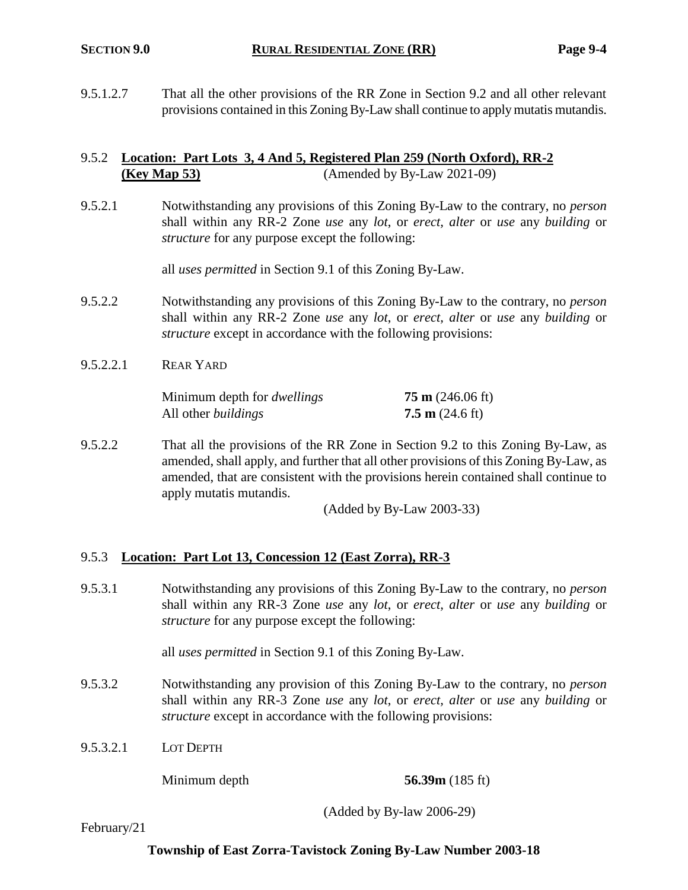9.5.1.2.7 That all the other provisions of the RR Zone in Section 9.2 and all other relevant provisions contained in this Zoning By-Law shall continue to apply mutatis mutandis.

### 9.5.2 **Location: Part Lots 3, 4 And 5, Registered Plan 259 (North Oxford), RR-2 (Key Map 53)** (Amended by By-Law 2021-09)

9.5.2.1 Notwithstanding any provisions of this Zoning By-Law to the contrary, no *person* shall within any RR-2 Zone *use* any *lot*, or *erect, alter* or *use* any *building* or *structure* for any purpose except the following:

all *uses permitted* in Section 9.1 of this Zoning By-Law.

- 9.5.2.2 Notwithstanding any provisions of this Zoning By-Law to the contrary, no *person* shall within any RR-2 Zone *use* any *lot*, or *erect, alter* or *use* any *building* or *structure* except in accordance with the following provisions:
- 9.5.2.2.1 REAR YARD

Minimum depth for *dwellings* **75 m** (246.06 ft) All other *buildings* **7.5 m** (24.6 ft)

9.5.2.2 That all the provisions of the RR Zone in Section 9.2 to this Zoning By-Law, as amended, shall apply, and further that all other provisions of this Zoning By-Law, as amended, that are consistent with the provisions herein contained shall continue to apply mutatis mutandis.

(Added by By-Law 2003-33)

#### 9.5.3 **Location: Part Lot 13, Concession 12 (East Zorra), RR-3**

9.5.3.1 Notwithstanding any provisions of this Zoning By-Law to the contrary, no *person* shall within any RR-3 Zone *use* any *lot*, or *erect, alter* or *use* any *building* or *structure* for any purpose except the following:

all *uses permitted* in Section 9.1 of this Zoning By-Law.

- 9.5.3.2 Notwithstanding any provision of this Zoning By-Law to the contrary, no *person* shall within any RR-3 Zone *use* any *lot*, or *erect, alter* or *use* any *building* or *structure* except in accordance with the following provisions:
- 9.5.3.2.1 LOT DEPTH

#### Minimum depth **56.39m** (185 ft)

(Added by By-law 2006-29)

February/21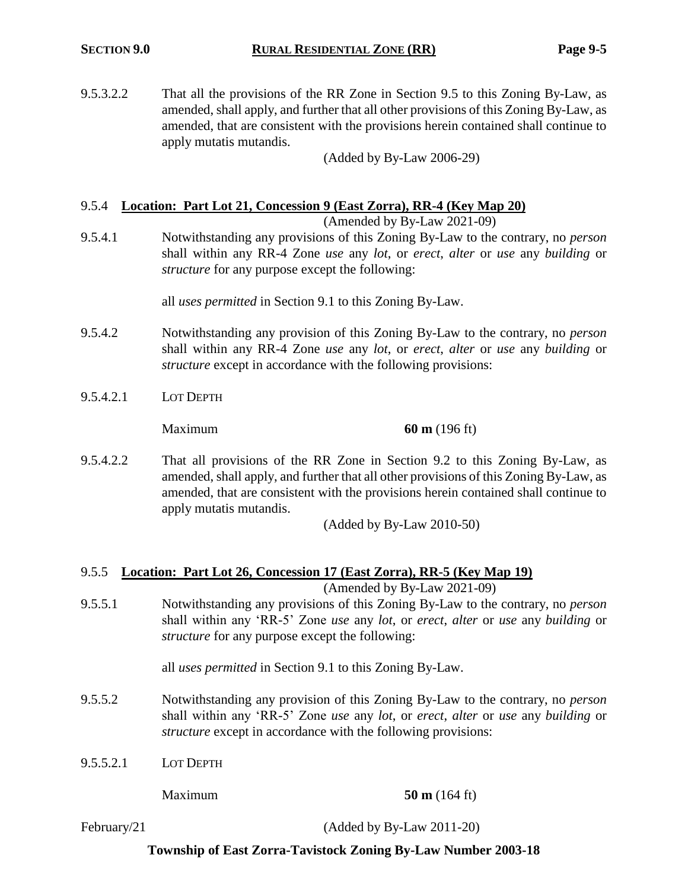9.5.3.2.2 That all the provisions of the RR Zone in Section 9.5 to this Zoning By-Law, as amended, shall apply, and further that all other provisions of this Zoning By-Law, as amended, that are consistent with the provisions herein contained shall continue to apply mutatis mutandis.

(Added by By-Law 2006-29)

# 9.5.4 **Location: Part Lot 21, Concession 9 (East Zorra), RR-4 (Key Map 20)**

(Amended by By-Law 2021-09)

9.5.4.1 Notwithstanding any provisions of this Zoning By-Law to the contrary, no *person* shall within any RR-4 Zone *use* any *lot*, or *erect*, *alter* or *use* any *building* or *structure* for any purpose except the following:

all *uses permitted* in Section 9.1 to this Zoning By-Law.

- 9.5.4.2 Notwithstanding any provision of this Zoning By-Law to the contrary, no *person* shall within any RR-4 Zone *use* any *lot*, or *erect*, *alter* or *use* any *building* or *structure* except in accordance with the following provisions:
- 9.5.4.2.1 LOT DEPTH

Maximum **60 m** (196 ft)

9.5.4.2.2 That all provisions of the RR Zone in Section 9.2 to this Zoning By-Law, as amended, shall apply, and further that all other provisions of this Zoning By-Law, as amended, that are consistent with the provisions herein contained shall continue to apply mutatis mutandis.

(Added by By-Law 2010-50)

# 9.5.5 **Location: Part Lot 26, Concession 17 (East Zorra), RR-5 (Key Map 19)**

(Amended by By-Law 2021-09)

9.5.5.1 Notwithstanding any provisions of this Zoning By-Law to the contrary, no *person* shall within any 'RR-5' Zone *use* any *lot*, or *erect*, *alter* or *use* any *building* or *structure* for any purpose except the following:

all *uses permitted* in Section 9.1 to this Zoning By-Law.

- 9.5.5.2 Notwithstanding any provision of this Zoning By-Law to the contrary, no *person* shall within any 'RR-5' Zone *use* any *lot*, or *erect*, *alter* or *use* any *building* or *structure* except in accordance with the following provisions:
- 9.5.5.2.1 LOT DEPTH

Maximum **50 m** (164 ft)

February/21 (Added by By-Law 2011-20)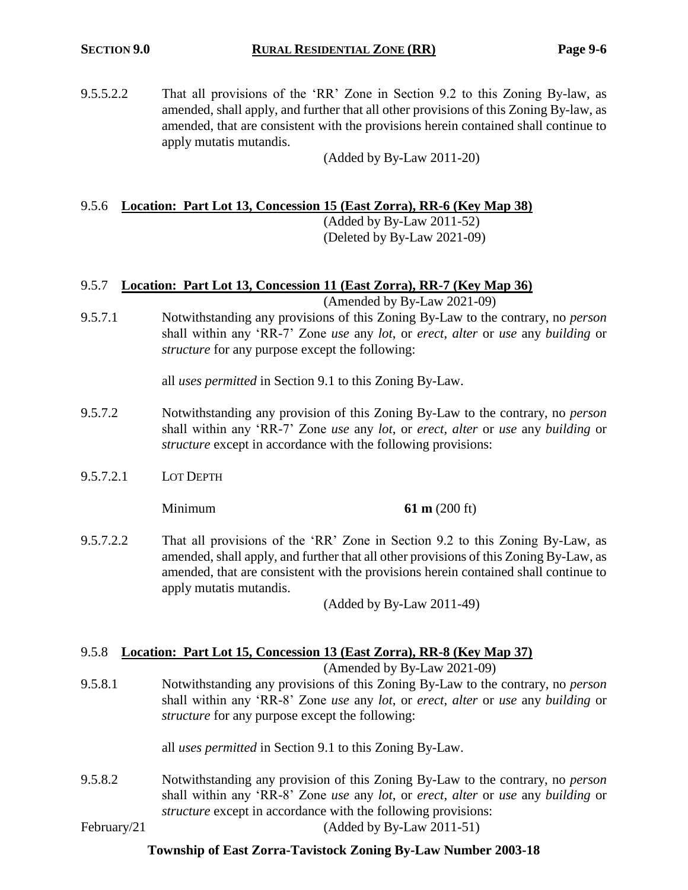9.5.5.2.2 That all provisions of the 'RR' Zone in Section 9.2 to this Zoning By-law, as amended, shall apply, and further that all other provisions of this Zoning By-law, as amended, that are consistent with the provisions herein contained shall continue to apply mutatis mutandis.

(Added by By-Law 2011-20)

### 9.5.6 **Location: Part Lot 13, Concession 15 (East Zorra), RR-6 (Key Map 38)**

(Added by By-Law 2011-52) (Deleted by By-Law 2021-09)

# 9.5.7 **Location: Part Lot 13, Concession 11 (East Zorra), RR-7 (Key Map 36)**

(Amended by By-Law 2021-09)

9.5.7.1 Notwithstanding any provisions of this Zoning By-Law to the contrary, no *person* shall within any 'RR-7' Zone *use* any *lot*, or *erect*, *alter* or *use* any *building* or *structure* for any purpose except the following:

all *uses permitted* in Section 9.1 to this Zoning By-Law.

- 9.5.7.2 Notwithstanding any provision of this Zoning By-Law to the contrary, no *person* shall within any 'RR-7' Zone *use* any *lot*, or *erect*, *alter* or *use* any *building* or *structure* except in accordance with the following provisions:
- 9.5.7.2.1 LOT DEPTH

Minimum **61 m** (200 ft)

9.5.7.2.2 That all provisions of the 'RR' Zone in Section 9.2 to this Zoning By-Law, as amended, shall apply, and further that all other provisions of this Zoning By-Law, as amended, that are consistent with the provisions herein contained shall continue to apply mutatis mutandis.

(Added by By-Law 2011-49)

#### 9.5.8 **Location: Part Lot 15, Concession 13 (East Zorra), RR-8 (Key Map 37)**

(Amended by By-Law 2021-09)

9.5.8.1 Notwithstanding any provisions of this Zoning By-Law to the contrary, no *person* shall within any 'RR-8' Zone *use* any *lot*, or *erect*, *alter* or *use* any *building* or *structure* for any purpose except the following:

all *uses permitted* in Section 9.1 to this Zoning By-Law.

9.5.8.2 Notwithstanding any provision of this Zoning By-Law to the contrary, no *person* shall within any 'RR-8' Zone *use* any *lot*, or *erect*, *alter* or *use* any *building* or *structure* except in accordance with the following provisions: February/21 (Added by By-Law 2011-51)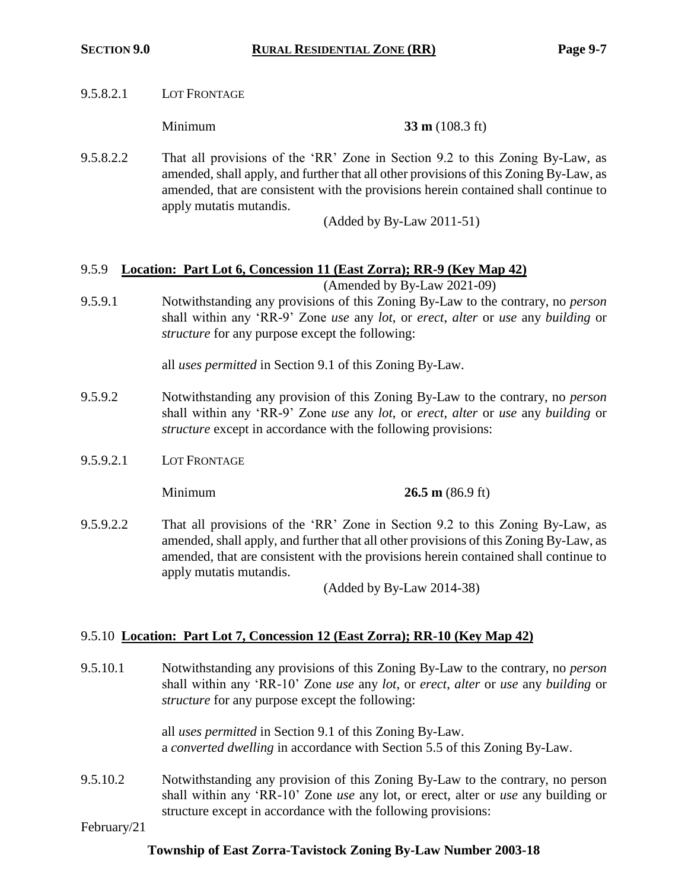9.5.8.2.1 LOT FRONTAGE

**Minimum 33 m** (108.3 ft)

9.5.8.2.2 That all provisions of the 'RR' Zone in Section 9.2 to this Zoning By-Law, as amended, shall apply, and further that all other provisions of this Zoning By-Law, as amended, that are consistent with the provisions herein contained shall continue to apply mutatis mutandis.

(Added by By-Law 2011-51)

# 9.5.9 **Location: Part Lot 6, Concession 11 (East Zorra); RR-9 (Key Map 42)**

(Amended by By-Law 2021-09)

9.5.9.1 Notwithstanding any provisions of this Zoning By-Law to the contrary, no *person* shall within any 'RR-9' Zone *use* any *lot*, or *erect*, *alter* or *use* any *building* or *structure* for any purpose except the following:

all *uses permitted* in Section 9.1 of this Zoning By-Law.

- 9.5.9.2 Notwithstanding any provision of this Zoning By-Law to the contrary, no *person* shall within any 'RR-9' Zone *use* any *lot*, or *erect*, *alter* or *use* any *building* or *structure* except in accordance with the following provisions:
- 9.5.9.2.1 LOT FRONTAGE

Minimum **26.5 m** (86.9 ft)

9.5.9.2.2 That all provisions of the 'RR' Zone in Section 9.2 to this Zoning By-Law, as amended, shall apply, and further that all other provisions of this Zoning By-Law, as amended, that are consistent with the provisions herein contained shall continue to apply mutatis mutandis.

(Added by By-Law 2014-38)

#### 9.5.10 **Location: Part Lot 7, Concession 12 (East Zorra); RR-10 (Key Map 42)**

9.5.10.1 Notwithstanding any provisions of this Zoning By-Law to the contrary, no *person* shall within any 'RR-10' Zone *use* any *lot*, or *erect*, *alter* or *use* any *building* or *structure* for any purpose except the following:

> all *uses permitted* in Section 9.1 of this Zoning By-Law. a *converted dwelling* in accordance with Section 5.5 of this Zoning By-Law.

9.5.10.2 Notwithstanding any provision of this Zoning By-Law to the contrary, no person shall within any 'RR-10' Zone *use* any lot, or erect, alter or *use* any building or structure except in accordance with the following provisions:

February/21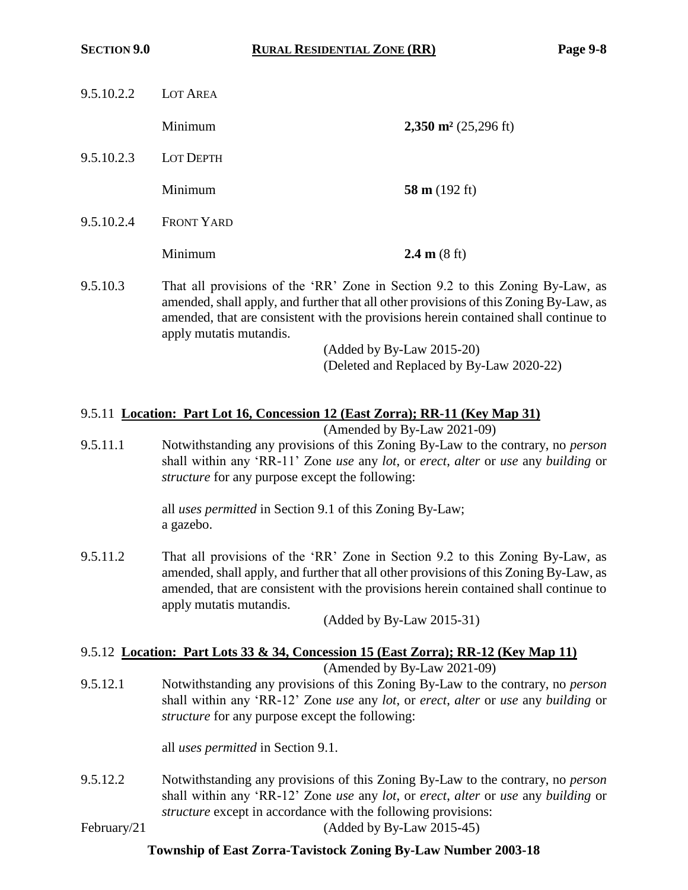| 9.5.10.2.2 | LOT AREA          |                                    |
|------------|-------------------|------------------------------------|
|            | Minimum           | $2,350$ m <sup>2</sup> (25,296 ft) |
| 9.5.10.2.3 | <b>LOT DEPTH</b>  |                                    |
|            | Minimum           | 58 m $(192 \text{ ft})$            |
| 9.5.10.2.4 | <b>FRONT YARD</b> |                                    |
|            | Minimum           | 2.4 m $(8 \text{ ft})$             |

9.5.10.3 That all provisions of the 'RR' Zone in Section 9.2 to this Zoning By-Law, as amended, shall apply, and further that all other provisions of this Zoning By-Law, as amended, that are consistent with the provisions herein contained shall continue to apply mutatis mutandis.

> (Added by By-Law 2015-20) (Deleted and Replaced by By-Law 2020-22)

#### 9.5.11 **Location: Part Lot 16, Concession 12 (East Zorra); RR-11 (Key Map 31)**

(Amended by By-Law 2021-09)

9.5.11.1 Notwithstanding any provisions of this Zoning By-Law to the contrary, no *person* shall within any 'RR-11' Zone *use* any *lot*, or *erect*, *alter* or *use* any *building* or *structure* for any purpose except the following:

> all *uses permitted* in Section 9.1 of this Zoning By-Law; a gazebo.

9.5.11.2 That all provisions of the 'RR' Zone in Section 9.2 to this Zoning By-Law, as amended, shall apply, and further that all other provisions of this Zoning By-Law, as amended, that are consistent with the provisions herein contained shall continue to apply mutatis mutandis.

(Added by By-Law 2015-31)

# 9.5.12 **Location: Part Lots 33 & 34, Concession 15 (East Zorra); RR-12 (Key Map 11)**

(Amended by By-Law 2021-09)

9.5.12.1 Notwithstanding any provisions of this Zoning By-Law to the contrary, no *person* shall within any 'RR-12' Zone *use* any *lot*, or *erect*, *alter* or *use* any *building* or *structure* for any purpose except the following:

all *uses permitted* in Section 9.1.

9.5.12.2 Notwithstanding any provisions of this Zoning By-Law to the contrary, no *person* shall within any 'RR-12' Zone *use* any *lot*, or *erect*, *alter* or *use* any *building* or *structure* except in accordance with the following provisions:

February/21 (Added by By-Law 2015-45)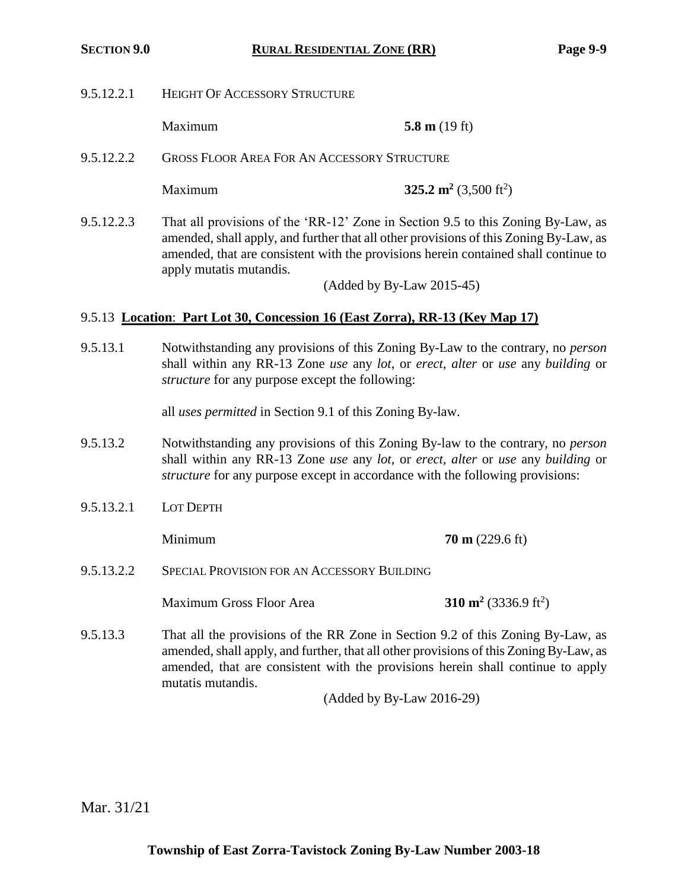9.5.12.2.1 HEIGHT OF ACCESSORY STRUCTURE

Maximum **5.8 m** (19 ft)

9.5.12.2.2 GROSS FLOOR AREA FOR AN ACCESSORY STRUCTURE

Maximum **325.2 m<sup>2</sup>** (3,500 ft<sup>2</sup>)

9.5.12.2.3 That all provisions of the 'RR-12' Zone in Section 9.5 to this Zoning By-Law, as amended, shall apply, and further that all other provisions of this Zoning By-Law, as amended, that are consistent with the provisions herein contained shall continue to apply mutatis mutandis.

(Added by By-Law 2015-45)

#### 9.5.13 **Location**: **Part Lot 30, Concession 16 (East Zorra), RR-13 (Key Map 17)**

9.5.13.1 Notwithstanding any provisions of this Zoning By-Law to the contrary, no *person* shall within any RR-13 Zone *use* any *lot*, or *erect*, *alter* or *use* any *building* or *structure* for any purpose except the following:

all *uses permitted* in Section 9.1 of this Zoning By-law.

- 9.5.13.2 Notwithstanding any provisions of this Zoning By-law to the contrary, no *person* shall within any RR-13 Zone *use* any *lot*, or *erect, alter* or *use* any *building* or *structure* for any purpose except in accordance with the following provisions:
- 9.5.13.2.1 LOT DEPTH

Minimum **70 m** (229.6 ft)

9.5.13.2.2 SPECIAL PROVISION FOR AN ACCESSORY BUILDING

**Maximum Gross Floor Area** 

- $(3336.9 \text{ ft}^2)$
- 9.5.13.3 That all the provisions of the RR Zone in Section 9.2 of this Zoning By-Law, as amended, shall apply, and further, that all other provisions of this Zoning By-Law, as amended, that are consistent with the provisions herein shall continue to apply mutatis mutandis.

(Added by By-Law 2016-29)

Mar. 31/21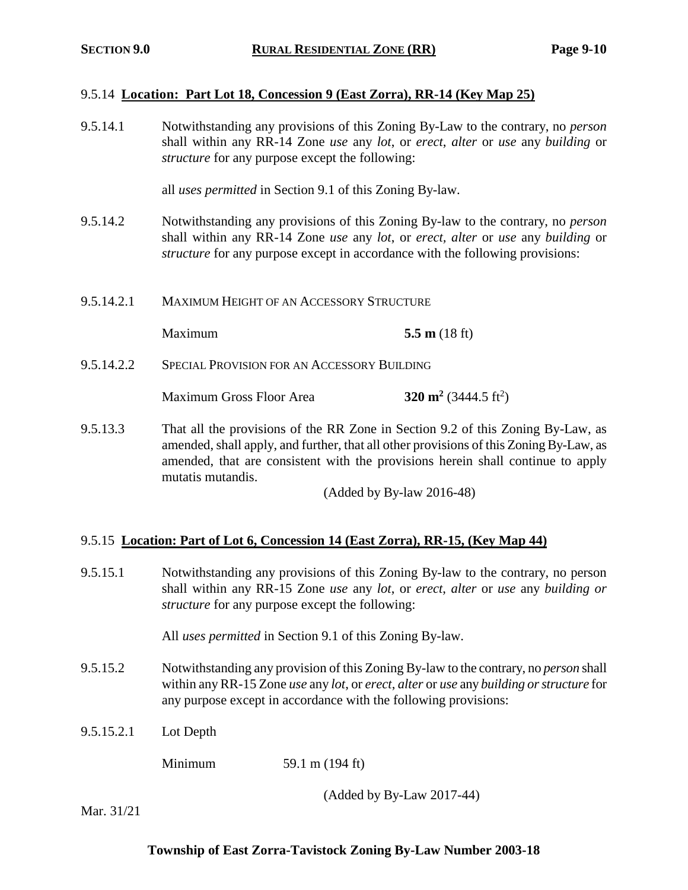#### 9.5.14 **Location: Part Lot 18, Concession 9 (East Zorra), RR-14 (Key Map 25)**

9.5.14.1 Notwithstanding any provisions of this Zoning By-Law to the contrary, no *person* shall within any RR-14 Zone *use* any *lot*, or *erect*, *alter* or *use* any *building* or *structure* for any purpose except the following:

all *uses permitted* in Section 9.1 of this Zoning By-law.

- 9.5.14.2 Notwithstanding any provisions of this Zoning By-law to the contrary, no *person* shall within any RR-14 Zone *use* any *lot*, or *erect, alter* or *use* any *building* or *structure* for any purpose except in accordance with the following provisions:
- 9.5.14.2.1 MAXIMUM HEIGHT OF AN ACCESSORY STRUCTURE

Maximum **5.5 m** (18 ft)

9.5.14.2.2 SPECIAL PROVISION FOR AN ACCESSORY BUILDING

Maximum Gross Floor Area **320 m<sup>2</sup>**  $(3444.5 \text{ ft}^2)$ 

9.5.13.3 That all the provisions of the RR Zone in Section 9.2 of this Zoning By-Law, as amended, shall apply, and further, that all other provisions of this Zoning By-Law, as amended, that are consistent with the provisions herein shall continue to apply mutatis mutandis.

(Added by By-law 2016-48)

#### 9.5.15 **Location: Part of Lot 6, Concession 14 (East Zorra), RR-15, (Key Map 44)**

9.5.15.1 Notwithstanding any provisions of this Zoning By-law to the contrary, no person shall within any RR-15 Zone *use* any *lot*, or *erect*, *alter* or *use* any *building or structure* for any purpose except the following:

All *uses permitted* in Section 9.1 of this Zoning By-law.

- 9.5.15.2 Notwithstanding any provision of this Zoning By-law to the contrary, no *person* shall within any RR-15 Zone *use* any *lot*, or *erect*, *alter* or *use* any *building or structure* for any purpose except in accordance with the following provisions:
- 9.5.15.2.1 Lot Depth

Minimum 59.1 m (194 ft)

(Added by By-Law 2017-44)

Mar. 31/21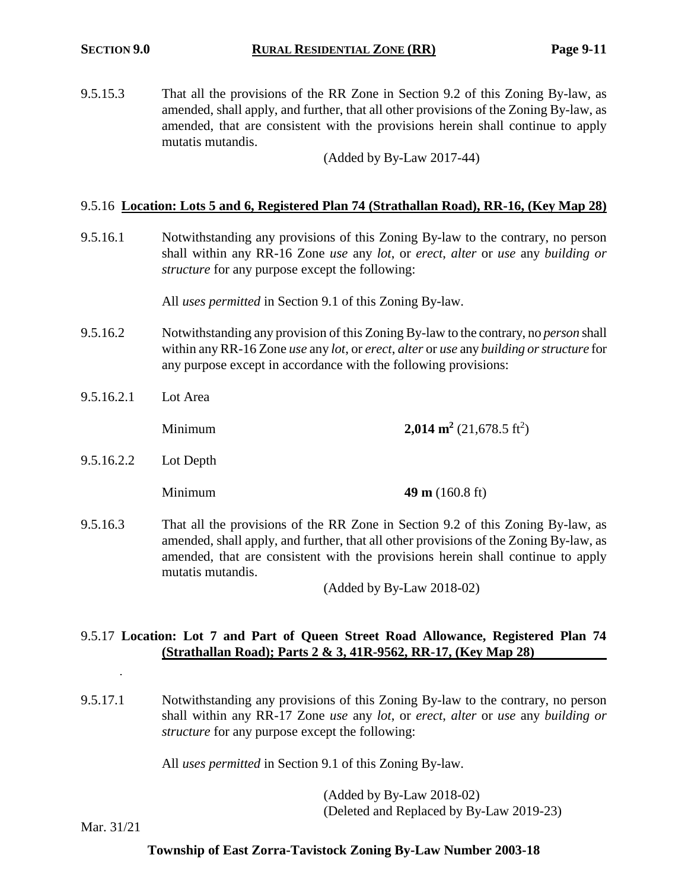9.5.15.3 That all the provisions of the RR Zone in Section 9.2 of this Zoning By-law, as amended, shall apply, and further, that all other provisions of the Zoning By-law, as amended, that are consistent with the provisions herein shall continue to apply mutatis mutandis.

(Added by By-Law 2017-44)

#### 9.5.16 **Location: Lots 5 and 6, Registered Plan 74 (Strathallan Road), RR-16, (Key Map 28)**

9.5.16.1 Notwithstanding any provisions of this Zoning By-law to the contrary, no person shall within any RR-16 Zone *use* any *lot*, or *erect*, *alter* or *use* any *building or structure* for any purpose except the following:

All *uses permitted* in Section 9.1 of this Zoning By-law.

- 9.5.16.2 Notwithstanding any provision of this Zoning By-law to the contrary, no *person* shall within any RR-16 Zone *use* any *lot*, or *erect*, *alter* or *use* any *building or structure* for any purpose except in accordance with the following provisions:
- 9.5.16.2.1 Lot Area

Minimum **2,014 m<sup>2</sup>** (21,678.5 ft<sup>2</sup>)

9.5.16.2.2 Lot Depth

**Minimum 49 m** (160.8 ft)

9.5.16.3 That all the provisions of the RR Zone in Section 9.2 of this Zoning By-law, as amended, shall apply, and further, that all other provisions of the Zoning By-law, as amended, that are consistent with the provisions herein shall continue to apply mutatis mutandis.

(Added by By-Law 2018-02)

#### 9.5.17 **Location: Lot 7 and Part of Queen Street Road Allowance, Registered Plan 74 (Strathallan Road); Parts 2 & 3, 41R-9562, RR-17, (Key Map 28)**

9.5.17.1 Notwithstanding any provisions of this Zoning By-law to the contrary, no person shall within any RR-17 Zone *use* any *lot*, or *erect*, *alter* or *use* any *building or structure* for any purpose except the following:

All *uses permitted* in Section 9.1 of this Zoning By-law.

(Added by By-Law 2018-02) (Deleted and Replaced by By-Law 2019-23)

Mar. 31/21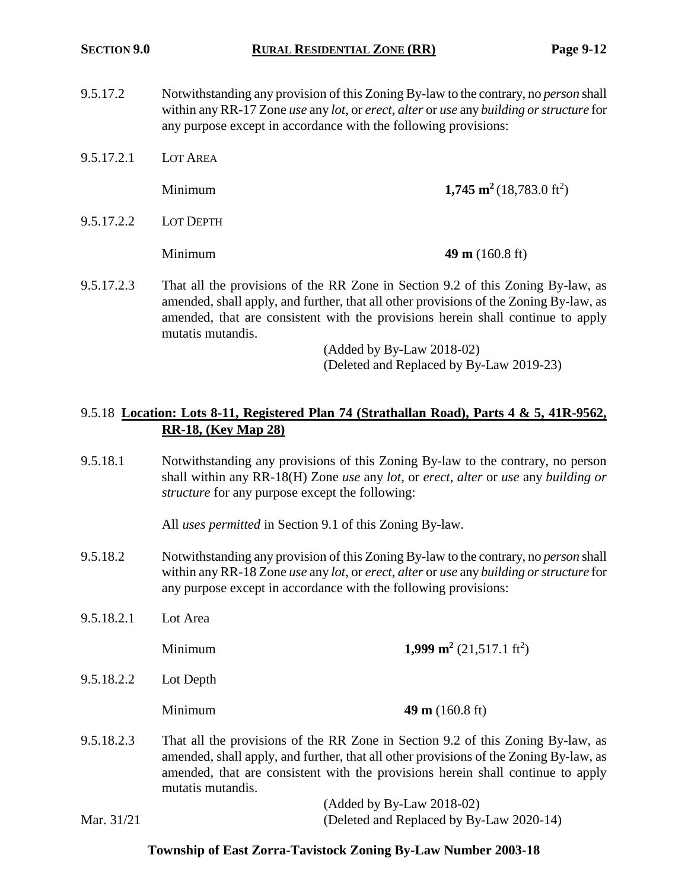- 9.5.17.2 Notwithstanding any provision of this Zoning By-law to the contrary, no *person* shall within any RR-17 Zone *use* any *lot*, or *erect*, *alter* or *use* any *building or structure* for any purpose except in accordance with the following provisions:
- 9.5.17.2.1 LOT AREA **Minimum 1,745 m<sup>2</sup>** (18,783.0 ft<sup>2</sup>) 9.5.17.2.2 LOT DEPTH Minimum **49 m** (160.8 ft)
- 9.5.17.2.3 That all the provisions of the RR Zone in Section 9.2 of this Zoning By-law, as amended, shall apply, and further, that all other provisions of the Zoning By-law, as amended, that are consistent with the provisions herein shall continue to apply mutatis mutandis.

(Added by By-Law 2018-02) (Deleted and Replaced by By-Law 2019-23)

### 9.5.18 **Location: Lots 8-11, Registered Plan 74 (Strathallan Road), Parts 4 & 5, 41R-9562, RR-18, (Key Map 28)**

9.5.18.1 Notwithstanding any provisions of this Zoning By-law to the contrary, no person shall within any RR-18(H) Zone *use* any *lot*, or *erect*, *alter* or *use* any *building or structure* for any purpose except the following:

All *uses permitted* in Section 9.1 of this Zoning By-law.

- 9.5.18.2 Notwithstanding any provision of this Zoning By-law to the contrary, no *person* shall within any RR-18 Zone *use* any *lot*, or *erect*, *alter* or *use* any *building or structure* for any purpose except in accordance with the following provisions:
- 9.5.18.2.1 Lot Area **1,999 m<sup>2</sup>** (21,517.1 ft<sup>2</sup>) 9.5.18.2.2 Lot Depth
	-

**Minimum 49 m** (160.8 ft)

9.5.18.2.3 That all the provisions of the RR Zone in Section 9.2 of this Zoning By-law, as amended, shall apply, and further, that all other provisions of the Zoning By-law, as amended, that are consistent with the provisions herein shall continue to apply mutatis mutandis.

|            | $($ Added by By-Law 2018-02 $)$          |
|------------|------------------------------------------|
| Mar. 31/21 | (Deleted and Replaced by By-Law 2020-14) |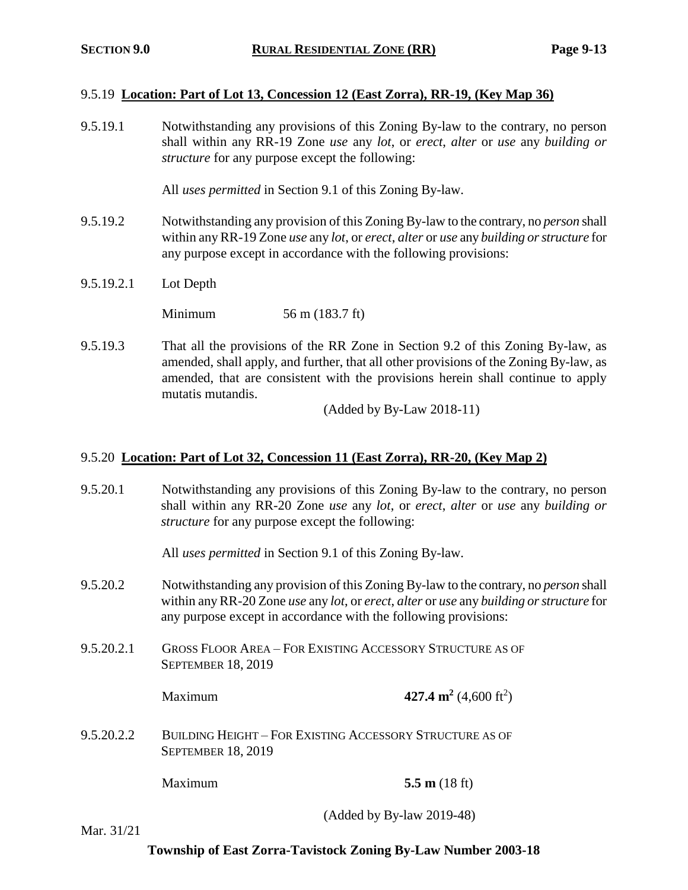#### 9.5.19 **Location: Part of Lot 13, Concession 12 (East Zorra), RR-19, (Key Map 36)**

9.5.19.1 Notwithstanding any provisions of this Zoning By-law to the contrary, no person shall within any RR-19 Zone *use* any *lot*, or *erect*, *alter* or *use* any *building or structure* for any purpose except the following:

All *uses permitted* in Section 9.1 of this Zoning By-law.

- 9.5.19.2 Notwithstanding any provision of this Zoning By-law to the contrary, no *person* shall within any RR-19 Zone *use* any *lot*, or *erect*, *alter* or *use* any *building or structure* for any purpose except in accordance with the following provisions:
- 9.5.19.2.1 Lot Depth

Minimum 56 m (183.7 ft)

9.5.19.3 That all the provisions of the RR Zone in Section 9.2 of this Zoning By-law, as amended, shall apply, and further, that all other provisions of the Zoning By-law, as amended, that are consistent with the provisions herein shall continue to apply mutatis mutandis.

(Added by By-Law 2018-11)

#### 9.5.20 **Location: Part of Lot 32, Concession 11 (East Zorra), RR-20, (Key Map 2)**

9.5.20.1 Notwithstanding any provisions of this Zoning By-law to the contrary, no person shall within any RR-20 Zone *use* any *lot*, or *erect*, *alter* or *use* any *building or structure* for any purpose except the following:

All *uses permitted* in Section 9.1 of this Zoning By-law.

- 9.5.20.2 Notwithstanding any provision of this Zoning By-law to the contrary, no *person* shall within any RR-20 Zone *use* any *lot*, or *erect*, *alter* or *use* any *building or structure* for any purpose except in accordance with the following provisions:
- 9.5.20.2.1 GROSS FLOOR AREA FOR EXISTING ACCESSORY STRUCTURE AS OF SEPTEMBER 18, 2019

Maximum **427.4 m<sup>2</sup>** (4,600 ft<sup>2</sup>)

9.5.20.2.2 BUILDING HEIGHT – FOR EXISTING ACCESSORY STRUCTURE AS OF SEPTEMBER 18, 2019

Maximum **5.5 m** (18 ft)

(Added by By-law 2019-48)